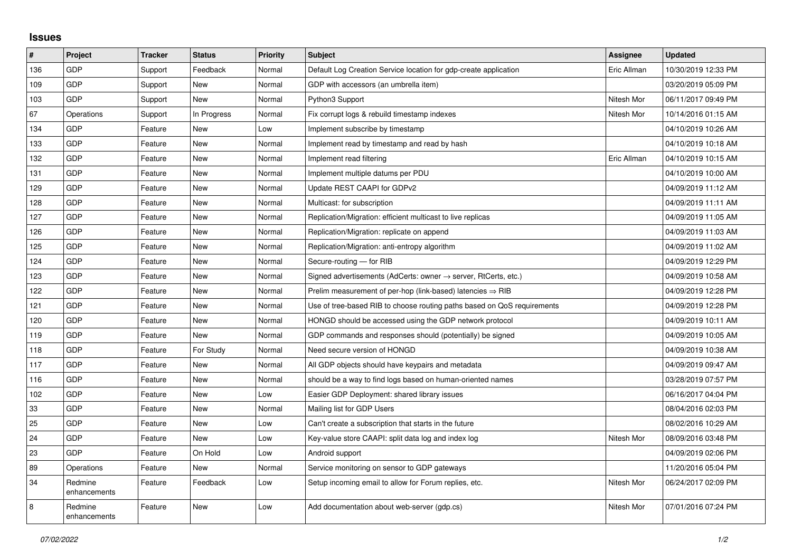## **Issues**

| #   | Project                 | <b>Tracker</b> | <b>Status</b> | <b>Priority</b> | <b>Subject</b>                                                             | Assignee    | <b>Updated</b>      |
|-----|-------------------------|----------------|---------------|-----------------|----------------------------------------------------------------------------|-------------|---------------------|
| 136 | GDP                     | Support        | Feedback      | Normal          | Default Log Creation Service location for gdp-create application           | Eric Allman | 10/30/2019 12:33 PM |
| 109 | GDP                     | Support        | <b>New</b>    | Normal          | GDP with accessors (an umbrella item)                                      |             | 03/20/2019 05:09 PM |
| 103 | GDP                     | Support        | New           | Normal          | Python3 Support                                                            | Nitesh Mor  | 06/11/2017 09:49 PM |
| 67  | Operations              | Support        | In Progress   | Normal          | Fix corrupt logs & rebuild timestamp indexes                               | Nitesh Mor  | 10/14/2016 01:15 AM |
| 134 | GDP                     | Feature        | <b>New</b>    | Low             | Implement subscribe by timestamp                                           |             | 04/10/2019 10:26 AM |
| 133 | GDP                     | Feature        | New           | Normal          | Implement read by timestamp and read by hash                               |             | 04/10/2019 10:18 AM |
| 132 | GDP                     | Feature        | <b>New</b>    | Normal          | Implement read filtering                                                   | Eric Allman | 04/10/2019 10:15 AM |
| 131 | GDP                     | Feature        | <b>New</b>    | Normal          | Implement multiple datums per PDU                                          |             | 04/10/2019 10:00 AM |
| 129 | GDP                     | Feature        | New           | Normal          | Update REST CAAPI for GDPv2                                                |             | 04/09/2019 11:12 AM |
| 128 | GDP                     | Feature        | <b>New</b>    | Normal          | Multicast: for subscription                                                |             | 04/09/2019 11:11 AM |
| 127 | GDP                     | Feature        | <b>New</b>    | Normal          | Replication/Migration: efficient multicast to live replicas                |             | 04/09/2019 11:05 AM |
| 126 | GDP                     | Feature        | New           | Normal          | Replication/Migration: replicate on append                                 |             | 04/09/2019 11:03 AM |
| 125 | GDP                     | Feature        | <b>New</b>    | Normal          | Replication/Migration: anti-entropy algorithm                              |             | 04/09/2019 11:02 AM |
| 124 | GDP                     | Feature        | <b>New</b>    | Normal          | Secure-routing - for RIB                                                   |             | 04/09/2019 12:29 PM |
| 123 | GDP                     | Feature        | New           | Normal          | Signed advertisements (AdCerts: owner $\rightarrow$ server, RtCerts, etc.) |             | 04/09/2019 10:58 AM |
| 122 | GDP                     | Feature        | <b>New</b>    | Normal          | Prelim measurement of per-hop (link-based) latencies $\Rightarrow$ RIB     |             | 04/09/2019 12:28 PM |
| 121 | GDP                     | Feature        | <b>New</b>    | Normal          | Use of tree-based RIB to choose routing paths based on QoS requirements    |             | 04/09/2019 12:28 PM |
| 120 | GDP                     | Feature        | New           | Normal          | HONGD should be accessed using the GDP network protocol                    |             | 04/09/2019 10:11 AM |
| 119 | GDP                     | Feature        | <b>New</b>    | Normal          | GDP commands and responses should (potentially) be signed                  |             | 04/09/2019 10:05 AM |
| 118 | GDP                     | Feature        | For Study     | Normal          | Need secure version of HONGD                                               |             | 04/09/2019 10:38 AM |
| 117 | GDP                     | Feature        | New           | Normal          | All GDP objects should have keypairs and metadata                          |             | 04/09/2019 09:47 AM |
| 116 | GDP                     | Feature        | <b>New</b>    | Normal          | should be a way to find logs based on human-oriented names                 |             | 03/28/2019 07:57 PM |
| 102 | GDP                     | Feature        | <b>New</b>    | Low             | Easier GDP Deployment: shared library issues                               |             | 06/16/2017 04:04 PM |
| 33  | GDP                     | Feature        | New           | Normal          | Mailing list for GDP Users                                                 |             | 08/04/2016 02:03 PM |
| 25  | GDP                     | Feature        | <b>New</b>    | Low             | Can't create a subscription that starts in the future                      |             | 08/02/2016 10:29 AM |
| 24  | GDP                     | Feature        | <b>New</b>    | Low             | Key-value store CAAPI: split data log and index log                        | Nitesh Mor  | 08/09/2016 03:48 PM |
| 23  | GDP                     | Feature        | On Hold       | Low             | Android support                                                            |             | 04/09/2019 02:06 PM |
| 89  | Operations              | Feature        | <b>New</b>    | Normal          | Service monitoring on sensor to GDP gateways                               |             | 11/20/2016 05:04 PM |
| 34  | Redmine<br>enhancements | Feature        | Feedback      | Low             | Setup incoming email to allow for Forum replies, etc.                      | Nitesh Mor  | 06/24/2017 02:09 PM |
| 8   | Redmine<br>enhancements | Feature        | <b>New</b>    | Low             | Add documentation about web-server (gdp.cs)                                | Nitesh Mor  | 07/01/2016 07:24 PM |